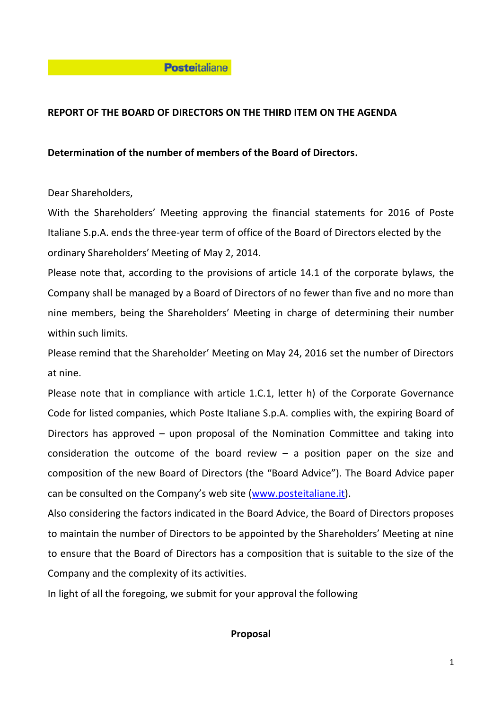### **Posteitaliane**

## **REPORT OF THE BOARD OF DIRECTORS ON THE THIRD ITEM ON THE AGENDA**

### **Determination of the number of members of the Board of Directors.**

Dear Shareholders,

With the Shareholders' Meeting approving the financial statements for 2016 of Poste Italiane S.p.A. ends the three-year term of office of the Board of Directors elected by the ordinary Shareholders' Meeting of May 2, 2014.

Please note that, according to the provisions of article 14.1 of the corporate bylaws, the Company shall be managed by a Board of Directors of no fewer than five and no more than nine members, being the Shareholders' Meeting in charge of determining their number within such limits.

Please remind that the Shareholder' Meeting on May 24, 2016 set the number of Directors at nine.

Please note that in compliance with article 1.C.1, letter h) of the Corporate Governance Code for listed companies, which Poste Italiane S.p.A. complies with, the expiring Board of Directors has approved – upon proposal of the Nomination Committee and taking into consideration the outcome of the board review  $-$  a position paper on the size and composition of the new Board of Directors (the "Board Advice"). The Board Advice paper can be consulted on the Company's web site [\(www.posteitaliane.it\)](http://www.posteitaliane.it/).

Also considering the factors indicated in the Board Advice, the Board of Directors proposes to maintain the number of Directors to be appointed by the Shareholders' Meeting at nine to ensure that the Board of Directors has a composition that is suitable to the size of the Company and the complexity of its activities.

In light of all the foregoing, we submit for your approval the following

#### **Proposal**